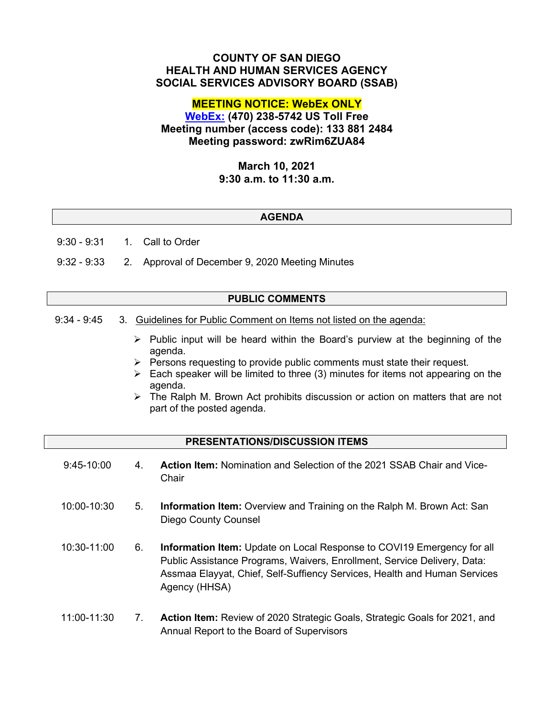# **COUNTY OF SAN DIEGO HEALTH AND HUMAN SERVICES AGENCY SOCIAL SERVICES ADVISORY BOARD (SSAB)**

# **MEETING NOTICE: WebEx ONLY**

**[WebEx:](https://sdcountyca.webex.com/sdcountyca/j.php?MTID=mb4e98765194e075022ab10c568997378) (470) 238-5742 US Toll Free Meeting number (access code): 133 881 2484 Meeting password: zwRim6ZUA84**

## **March 10, 2021 9:30 a.m. to 11:30 a.m.**

## **AGENDA**

9:30 - 9:31 1. Call to Order

9:32 - 9:33 2. Approval of December 9, 2020 Meeting Minutes

## **PUBLIC COMMENTS**

- 9:34 9:45 3. Guidelines for Public Comment on Items not listed on the agenda:
	- $\triangleright$  Public input will be heard within the Board's purview at the beginning of the agenda.
	- $\triangleright$  Persons requesting to provide public comments must state their request.
	- $\triangleright$  Each speaker will be limited to three (3) minutes for items not appearing on the agenda.
	- $\triangleright$  The Ralph M. Brown Act prohibits discussion or action on matters that are not part of the posted agenda.

#### **PRESENTATIONS/DISCUSSION ITEMS**

| $9:45-10:00$ | 4  | <b>Action Item: Nomination and Selection of the 2021 SSAB Chair and Vice-</b><br>Chair                |
|--------------|----|-------------------------------------------------------------------------------------------------------|
| 10:00-10:30  | 5. | <b>Information Item:</b> Overview and Training on the Ralph M. Brown Act: San<br>Diego County Counsel |

- 10:30-11:00 6. **Information Item:** Update on Local Response to COVI19 Emergency for all Public Assistance Programs, Waivers, Enrollment, Service Delivery, Data: Assmaa Elayyat, Chief, Self-Suffiency Services, Health and Human Services Agency (HHSA)
- 11:00-11:30 7. **Action Item:** Review of 2020 Strategic Goals, Strategic Goals for 2021, and Annual Report to the Board of Supervisors